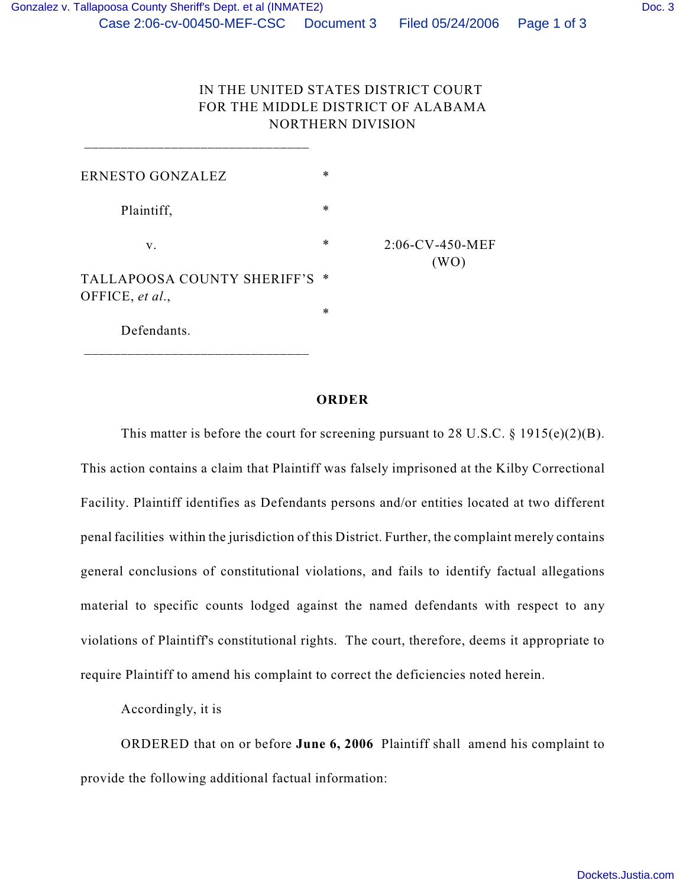## IN THE UNITED STATES DISTRICT COURT FOR THE MIDDLE DISTRICT OF ALABAMA NORTHERN DIVISION

| ERNESTO GONZALEZ                               | $\ast$ |                            |
|------------------------------------------------|--------|----------------------------|
| Plaintiff,                                     | $\ast$ |                            |
| V.                                             | $\ast$ | $2:06$ -CV-450-MEF<br>(WO) |
| TALLAPOOSA COUNTY SHERIFF'S<br>OFFICE, et al., | ∗      |                            |
|                                                | $\ast$ |                            |
| Defendants.                                    |        |                            |

\_\_\_\_\_\_\_\_\_\_\_\_\_\_\_\_\_\_\_\_\_\_\_\_\_\_\_\_\_\_\_

## **ORDER**

This matter is before the court for screening pursuant to 28 U.S.C.  $\S$  1915(e)(2)(B). This action contains a claim that Plaintiff was falsely imprisoned at the Kilby Correctional Facility. Plaintiff identifies as Defendants persons and/or entities located at two different penal facilities within the jurisdiction of this District. Further, the complaint merely contains general conclusions of constitutional violations, and fails to identify factual allegations material to specific counts lodged against the named defendants with respect to any violations of Plaintiff's constitutional rights. The court, therefore, deems it appropriate to require Plaintiff to amend his complaint to correct the deficiencies noted herein.

Accordingly, it is

ORDERED that on or before **June 6, 2006** Plaintiff shall amend his complaint to provide the following additional factual information: